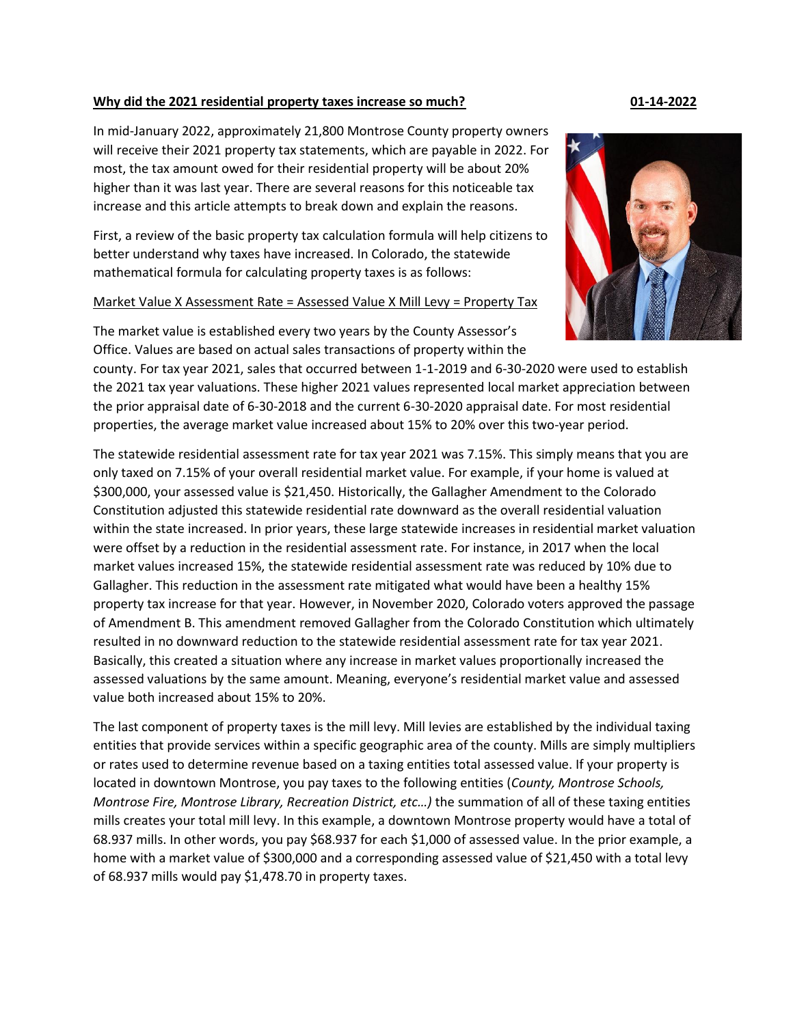## **Why did the 2021 residential property taxes increase so much? 01-14-2022**

In mid-January 2022, approximately 21,800 Montrose County property owners will receive their 2021 property tax statements, which are payable in 2022. For most, the tax amount owed for their residential property will be about 20% higher than it was last year. There are several reasons for this noticeable tax increase and this article attempts to break down and explain the reasons.

First, a review of the basic property tax calculation formula will help citizens to better understand why taxes have increased. In Colorado, the statewide mathematical formula for calculating property taxes is as follows:

## Market Value X Assessment Rate = Assessed Value X Mill Levy = Property Tax

Office. Values are based on actual sales transactions of property within the

The market value is established every two years by the County Assessor's county. For tax year 2021, sales that occurred between 1-1-2019 and 6-30-2020 were used to establish the 2021 tax year valuations. These higher 2021 values represented local market appreciation between the prior appraisal date of 6-30-2018 and the current 6-30-2020 appraisal date. For most residential properties, the average market value increased about 15% to 20% over this two-year period.

The statewide residential assessment rate for tax year 2021 was 7.15%. This simply means that you are only taxed on 7.15% of your overall residential market value. For example, if your home is valued at \$300,000, your assessed value is \$21,450. Historically, the Gallagher Amendment to the Colorado Constitution adjusted this statewide residential rate downward as the overall residential valuation within the state increased. In prior years, these large statewide increases in residential market valuation were offset by a reduction in the residential assessment rate. For instance, in 2017 when the local market values increased 15%, the statewide residential assessment rate was reduced by 10% due to Gallagher. This reduction in the assessment rate mitigated what would have been a healthy 15% property tax increase for that year. However, in November 2020, Colorado voters approved the passage of Amendment B. This amendment removed Gallagher from the Colorado Constitution which ultimately resulted in no downward reduction to the statewide residential assessment rate for tax year 2021. Basically, this created a situation where any increase in market values proportionally increased the assessed valuations by the same amount. Meaning, everyone's residential market value and assessed value both increased about 15% to 20%.

The last component of property taxes is the mill levy. Mill levies are established by the individual taxing entities that provide services within a specific geographic area of the county. Mills are simply multipliers or rates used to determine revenue based on a taxing entities total assessed value. If your property is located in downtown Montrose, you pay taxes to the following entities (*County, Montrose Schools, Montrose Fire, Montrose Library, Recreation District, etc…)* the summation of all of these taxing entities mills creates your total mill levy. In this example, a downtown Montrose property would have a total of 68.937 mills. In other words, you pay \$68.937 for each \$1,000 of assessed value. In the prior example, a home with a market value of \$300,000 and a corresponding assessed value of \$21,450 with a total levy of 68.937 mills would pay \$1,478.70 in property taxes.